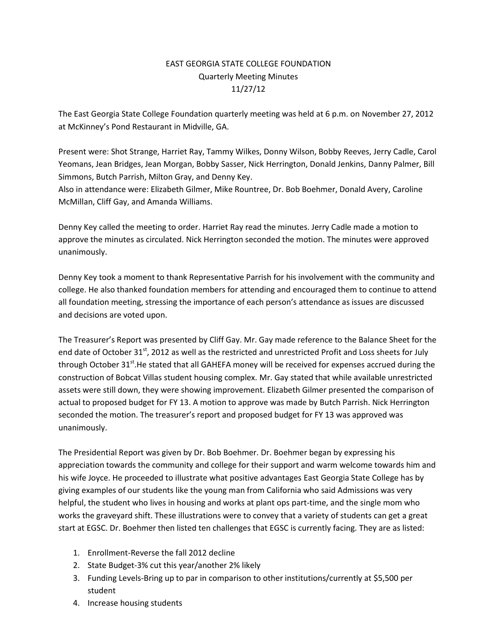## EAST GEORGIA STATE COLLEGE FOUNDATION Quarterly Meeting Minutes 11/27/12

The East Georgia State College Foundation quarterly meeting was held at 6 p.m. on November 27, 2012 at McKinney's Pond Restaurant in Midville, GA.

Present were: Shot Strange, Harriet Ray, Tammy Wilkes, Donny Wilson, Bobby Reeves, Jerry Cadle, Carol Yeomans, Jean Bridges, Jean Morgan, Bobby Sasser, Nick Herrington, Donald Jenkins, Danny Palmer, Bill Simmons, Butch Parrish, Milton Gray, and Denny Key.

Also in attendance were: Elizabeth Gilmer, Mike Rountree, Dr. Bob Boehmer, Donald Avery, Caroline McMillan, Cliff Gay, and Amanda Williams.

Denny Key called the meeting to order. Harriet Ray read the minutes. Jerry Cadle made a motion to approve the minutes as circulated. Nick Herrington seconded the motion. The minutes were approved unanimously.

Denny Key took a moment to thank Representative Parrish for his involvement with the community and college. He also thanked foundation members for attending and encouraged them to continue to attend all foundation meeting, stressing the importance of each person's attendance as issues are discussed and decisions are voted upon.

The Treasurer's Report was presented by Cliff Gay. Mr. Gay made reference to the Balance Sheet for the end date of October 31<sup>st</sup>, 2012 as well as the restricted and unrestricted Profit and Loss sheets for July through October 31<sup>st</sup>.He stated that all GAHEFA money will be received for expenses accrued during the construction of Bobcat Villas student housing complex. Mr. Gay stated that while available unrestricted assets were still down, they were showing improvement. Elizabeth Gilmer presented the comparison of actual to proposed budget for FY 13. A motion to approve was made by Butch Parrish. Nick Herrington seconded the motion. The treasurer's report and proposed budget for FY 13 was approved was unanimously.

The Presidential Report was given by Dr. Bob Boehmer. Dr. Boehmer began by expressing his appreciation towards the community and college for their support and warm welcome towards him and his wife Joyce. He proceeded to illustrate what positive advantages East Georgia State College has by giving examples of our students like the young man from California who said Admissions was very helpful, the student who lives in housing and works at plant ops part-time, and the single mom who works the graveyard shift. These illustrations were to convey that a variety of students can get a great start at EGSC. Dr. Boehmer then listed ten challenges that EGSC is currently facing. They are as listed:

- 1. Enrollment-Reverse the fall 2012 decline
- 2. State Budget-3% cut this year/another 2% likely
- 3. Funding Levels-Bring up to par in comparison to other institutions/currently at \$5,500 per student
- 4. Increase housing students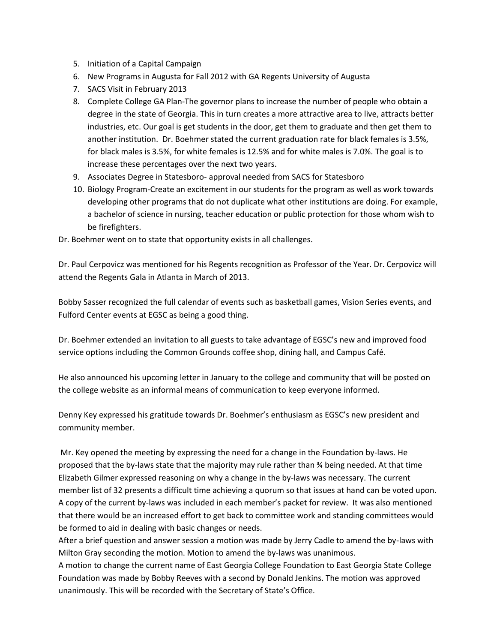- 5. Initiation of a Capital Campaign
- 6. New Programs in Augusta for Fall 2012 with GA Regents University of Augusta
- 7. SACS Visit in February 2013
- 8. Complete College GA Plan-The governor plans to increase the number of people who obtain a degree in the state of Georgia. This in turn creates a more attractive area to live, attracts better industries, etc. Our goal is get students in the door, get them to graduate and then get them to another institution. Dr. Boehmer stated the current graduation rate for black females is 3.5%, for black males is 3.5%, for white females is 12.5% and for white males is 7.0%. The goal is to increase these percentages over the next two years.
- 9. Associates Degree in Statesboro- approval needed from SACS for Statesboro
- 10. Biology Program-Create an excitement in our students for the program as well as work towards developing other programs that do not duplicate what other institutions are doing. For example, a bachelor of science in nursing, teacher education or public protection for those whom wish to be firefighters.

Dr. Boehmer went on to state that opportunity exists in all challenges.

Dr. Paul Cerpovicz was mentioned for his Regents recognition as Professor of the Year. Dr. Cerpovicz will attend the Regents Gala in Atlanta in March of 2013.

Bobby Sasser recognized the full calendar of events such as basketball games, Vision Series events, and Fulford Center events at EGSC as being a good thing.

Dr. Boehmer extended an invitation to all guests to take advantage of EGSC's new and improved food service options including the Common Grounds coffee shop, dining hall, and Campus Café.

He also announced his upcoming letter in January to the college and community that will be posted on the college website as an informal means of communication to keep everyone informed.

Denny Key expressed his gratitude towards Dr. Boehmer's enthusiasm as EGSC's new president and community member.

Mr. Key opened the meeting by expressing the need for a change in the Foundation by-laws. He proposed that the by-laws state that the majority may rule rather than ¾ being needed. At that time Elizabeth Gilmer expressed reasoning on why a change in the by-laws was necessary. The current member list of 32 presents a difficult time achieving a quorum so that issues at hand can be voted upon. A copy of the current by-laws was included in each member's packet for review. It was also mentioned that there would be an increased effort to get back to committee work and standing committees would be formed to aid in dealing with basic changes or needs.

After a brief question and answer session a motion was made by Jerry Cadle to amend the by-laws with Milton Gray seconding the motion. Motion to amend the by-laws was unanimous.

A motion to change the current name of East Georgia College Foundation to East Georgia State College Foundation was made by Bobby Reeves with a second by Donald Jenkins. The motion was approved unanimously. This will be recorded with the Secretary of State's Office.